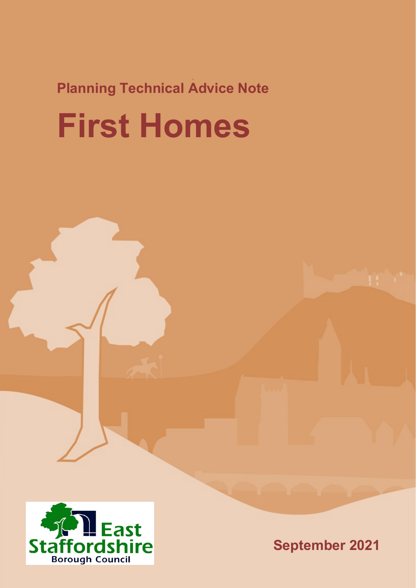## **Planning Technical Advice Note First Homes**



**September 2021**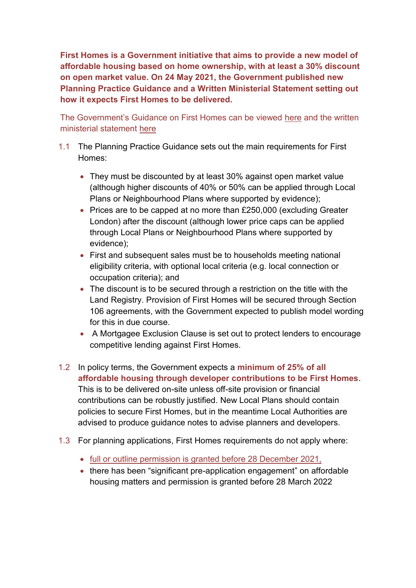**First Homes is a Government initiative that aims to provide a new model of affordable housing based on home ownership, with at least a 30% discount on open market value. On 24 May 2021, the Government published new Planning Practice Guidance and a Written Ministerial Statement setting out how it expects First Homes to be delivered.**

The Government's Guidance on First Homes can be viewed [here](https://www.gov.uk/guidance/first-homes) and the written ministerial statement [here](https://questions-statements.parliament.uk/written-statements/detail/2021-05-24/hlws48)

- 1.1 The Planning Practice Guidance sets out the main requirements for First Homes:
	- They must be discounted by at least 30% against open market value (although higher discounts of 40% or 50% can be applied through Local Plans or Neighbourhood Plans where supported by evidence);
	- Prices are to be capped at no more than £250,000 (excluding Greater London) after the discount (although lower price caps can be applied through Local Plans or Neighbourhood Plans where supported by evidence);
	- First and subsequent sales must be to households meeting national eligibility criteria, with optional local criteria (e.g. local connection or occupation criteria); and
	- The discount is to be secured through a restriction on the title with the Land Registry. Provision of First Homes will be secured through Section 106 agreements, with the Government expected to publish model wording for this in due course.
	- A Mortgagee Exclusion Clause is set out to protect lenders to encourage competitive lending against First Homes.
- 1.2 In policy terms, the Government expects a **minimum of 25% of all affordable housing through developer contributions to be First Homes**. This is to be delivered on-site unless off-site provision or financial contributions can be robustly justified. New Local Plans should contain policies to secure First Homes, but in the meantime Local Authorities are advised to produce guidance notes to advise planners and developers.
- 1.3 For planning applications, First Homes requirements do not apply where:
	- full or outline permission is granted before 28 December 2021,
	- there has been "significant pre-application engagement" on affordable housing matters and permission is granted before 28 March 2022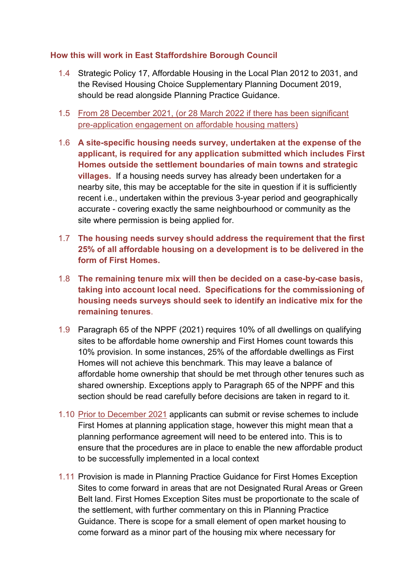## **How this will work in East Staffordshire Borough Council**

- 1.4 Strategic Policy 17, Affordable Housing in the Local Plan 2012 to 2031, and the Revised Housing Choice Supplementary Planning Document 2019, should be read alongside Planning Practice Guidance.
- 1.5 From 28 December 2021, (or 28 March 2022 if there has been significant pre-application engagement on affordable housing matters)
- 1.6 **A site-specific housing needs survey, undertaken at the expense of the applicant, is required for any application submitted which includes First Homes outside the settlement boundaries of main towns and strategic villages.** If a housing needs survey has already been undertaken for a nearby site, this may be acceptable for the site in question if it is sufficiently recent i.e., undertaken within the previous 3-year period and geographically accurate - covering exactly the same neighbourhood or community as the site where permission is being applied for.
- 1.7 **The housing needs survey should address the requirement that the first 25% of all affordable housing on a development is to be delivered in the form of First Homes.**
- 1.8 **The remaining tenure mix will then be decided on a case-by-case basis, taking into account local need. Specifications for the commissioning of housing needs surveys should seek to identify an indicative mix for the remaining tenures**.
- 1.9 Paragraph 65 of the NPPF (2021) requires 10% of all dwellings on qualifying sites to be affordable home ownership and First Homes count towards this 10% provision. In some instances, 25% of the affordable dwellings as First Homes will not achieve this benchmark. This may leave a balance of affordable home ownership that should be met through other tenures such as shared ownership. Exceptions apply to Paragraph 65 of the NPPF and this section should be read carefully before decisions are taken in regard to it.
- 1.10 Prior to December 2021 applicants can submit or revise schemes to include First Homes at planning application stage, however this might mean that a planning performance agreement will need to be entered into. This is to ensure that the procedures are in place to enable the new affordable product to be successfully implemented in a local context
- 1.11 Provision is made in Planning Practice Guidance for First Homes Exception Sites to come forward in areas that are not Designated Rural Areas or Green Belt land. First Homes Exception Sites must be proportionate to the scale of the settlement, with further commentary on this in Planning Practice Guidance. There is scope for a small element of open market housing to come forward as a minor part of the housing mix where necessary for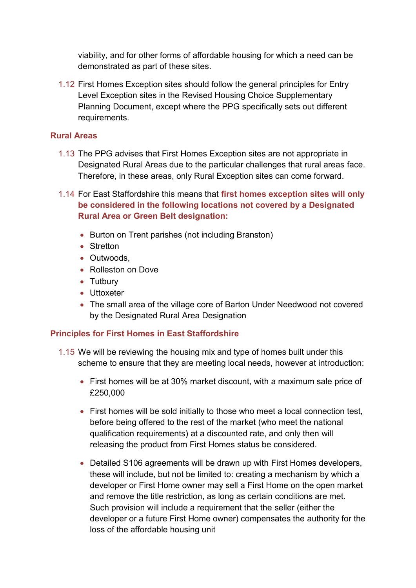viability, and for other forms of affordable housing for which a need can be demonstrated as part of these sites.

1.12 First Homes Exception sites should follow the general principles for Entry Level Exception sites in the Revised Housing Choice Supplementary Planning Document, except where the PPG specifically sets out different requirements.

## **Rural Areas**

- 1.13 The PPG advises that First Homes Exception sites are not appropriate in Designated Rural Areas due to the particular challenges that rural areas face. Therefore, in these areas, only Rural Exception sites can come forward.
- 1.14 For East Staffordshire this means that **first homes exception sites will only be considered in the following locations not covered by a Designated Rural Area or Green Belt designation:** 
	- Burton on Trent parishes (not including Branston)
	- Stretton
	- **Cutwoods**
	- Rolleston on Dove
	- Tutbury
	- Uttoxeter
	- The small area of the village core of Barton Under Needwood not covered by the Designated Rural Area Designation

## **Principles for First Homes in East Staffordshire**

- 1.15 We will be reviewing the housing mix and type of homes built under this scheme to ensure that they are meeting local needs, however at introduction:
	- First homes will be at 30% market discount, with a maximum sale price of £250,000
	- First homes will be sold initially to those who meet a local connection test, before being offered to the rest of the market (who meet the national qualification requirements) at a discounted rate, and only then will releasing the product from First Homes status be considered.
	- Detailed S106 agreements will be drawn up with First Homes developers, these will include, but not be limited to: creating a mechanism by which a developer or First Home owner may sell a First Home on the open market and remove the title restriction, as long as certain conditions are met. Such provision will include a requirement that the seller (either the developer or a future First Home owner) compensates the authority for the loss of the affordable housing unit